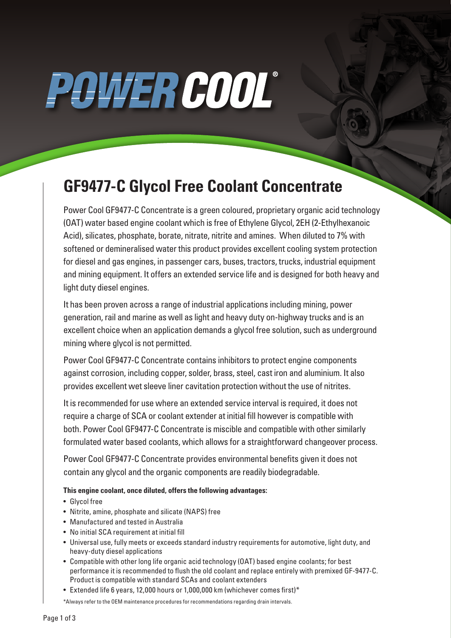# POWER COOL®

### **GF9477-C Glycol Free Coolant Concentrate**

Power Cool GF9477-C Concentrate is a green coloured, proprietary organic acid technology (OAT) water based engine coolant which is free of Ethylene Glycol, 2EH (2-Ethylhexanoic Acid), silicates, phosphate, borate, nitrate, nitrite and amines. When diluted to 7% with softened or demineralised water this product provides excellent cooling system protection for diesel and gas engines, in passenger cars, buses, tractors, trucks, industrial equipment and mining equipment. It offers an extended service life and is designed for both heavy and light duty diesel engines.

It has been proven across a range of industrial applications including mining, power generation, rail and marine as well as light and heavy duty on-highway trucks and is an excellent choice when an application demands a glycol free solution, such as underground mining where glycol is not permitted.

Power Cool GF9477-C Concentrate contains inhibitors to protect engine components against corrosion, including copper, solder, brass, steel, cast iron and aluminium. It also provides excellent wet sleeve liner cavitation protection without the use of nitrites.

It is recommended for use where an extended service interval is required, it does not require a charge of SCA or coolant extender at initial fill however is compatible with both. Power Cool GF9477-C Concentrate is miscible and compatible with other similarly formulated water based coolants, which allows for a straightforward changeover process.

Power Cool GF9477-C Concentrate provides environmental benefits given it does not contain any glycol and the organic components are readily biodegradable.

**This engine coolant, once diluted, offers the following advantages:** 

- Glycol free
- Nitrite, amine, phosphate and silicate (NAPS) free
- Manufactured and tested in Australia
- No initial SCA requirement at initial fill
- Universal use, fully meets or exceeds standard industry requirements for automotive, light duty, and heavy-duty diesel applications
- Compatible with other long life organic acid technology (OAT) based engine coolants; for best performance it is recommended to flush the old coolant and replace entirely with premixed GF-9477-C. Product is compatible with standard SCAs and coolant extenders
- Extended life 6 years, 12,000 hours or 1,000,000 km (whichever comes first)\*

\*Always refer to the OEM maintenance procedures for recommendations regarding drain intervals.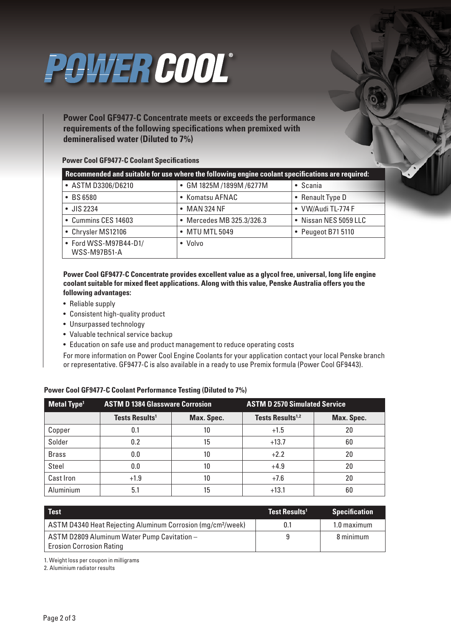

**Power Cool GF9477-C Concentrate meets or exceeds the performance requirements of the following specifications when premixed with demineralised water (Diluted to 7%)**

### **Power Cool GF9477-C Coolant Specifications**

| Recommended and suitable for use where the following engine coolant specifications are required: |                           |                       |  |  |  |
|--------------------------------------------------------------------------------------------------|---------------------------|-----------------------|--|--|--|
| • ASTM D3306/D6210                                                                               | • GM 1825M /1899M /6277M  | • Scania              |  |  |  |
| $\bullet$ BS 6580                                                                                | • Komatsu AFNAC           | • Renault Type D      |  |  |  |
| $\bullet$ JIS 2234                                                                               | $\bullet$ MAN 324 NF      | • VW/Audi TL-774 F    |  |  |  |
| • Cummins CES 14603                                                                              | • Mercedes MB 325.3/326.3 | • Nissan NES 5059 LLC |  |  |  |
| • Chrysler MS12106                                                                               | • MTU MTL 5049            | • Peugeot B71 5110    |  |  |  |
| • Ford WSS-M97B44-D1/<br><b>WSS-M97B51-A</b>                                                     | • Volvo                   |                       |  |  |  |

**Power Cool GF9477-C Concentrate provides excellent value as a glycol free, universal, long life engine coolant suitable for mixed fleet applications. Along with this value, Penske Australia offers you the following advantages:**

- Reliable supply
- Consistent high-quality product
- Unsurpassed technology
- Valuable technical service backup
- Education on safe use and product management to reduce operating costs

For more information on Power Cool Engine Coolants for your application contact your local Penske branch or representative. GF9477-C is also available in a ready to use Premix formula (Power Cool GF9443).

| Metal Type <sup>1</sup> | <b>ASTM D 1384 Glassware Corrosion</b> |            | <b>ASTM D 2570 Simulated Service</b> |            |
|-------------------------|----------------------------------------|------------|--------------------------------------|------------|
|                         | Tests Results <sup>1</sup>             | Max. Spec. | Tests Results <sup>1,2</sup>         | Max. Spec. |
| Copper                  | 0.1                                    | 10         | $+1.5$                               | 20         |
| Solder                  | 0.2                                    | 15         | $+13.7$                              | 60         |
| <b>Brass</b>            | 0.0                                    | 10         | $+2.2$                               | 20         |
| <b>Steel</b>            | 0.0                                    | 10         | $+4.9$                               | 20         |
| Cast Iron               | $+1.9$                                 | 10         | $+7.6$                               | 20         |
| Aluminium               | 5.1                                    | 15         | $+13.1$                              | 60         |

#### **Power Cool GF9477-C Coolant Performance Testing (Diluted to 7%)**

| <b>Test</b>                                                                    | l Test Results <sup>11</sup> | <b>Specification</b> |
|--------------------------------------------------------------------------------|------------------------------|----------------------|
| ASTM D4340 Heat Rejecting Aluminum Corrosion (mg/cm <sup>2</sup> /week)        | 0.1                          | 1.0 maximum          |
| ASTM D2809 Aluminum Water Pump Cavitation -<br><b>Erosion Corrosion Rating</b> |                              | 8 minimum            |

1. Weight loss per coupon in milligrams

2. Aluminium radiator results